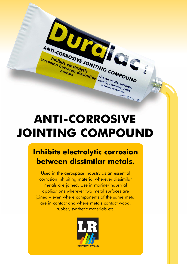

# **ANTI-CORROSIVE JOINTING COMPOUND**

### **Inhibits electrolytic corrosion between dissimilar metals.**

Used in the aerospace industry as an essential corrosion inhibiting material wherever dissimilar metals are joined. Use in marine/industrial applications wherever two metal surfaces are joined – even where components of the same metal are in contact and where metals contact wood, rubber, synthetic materials etc.